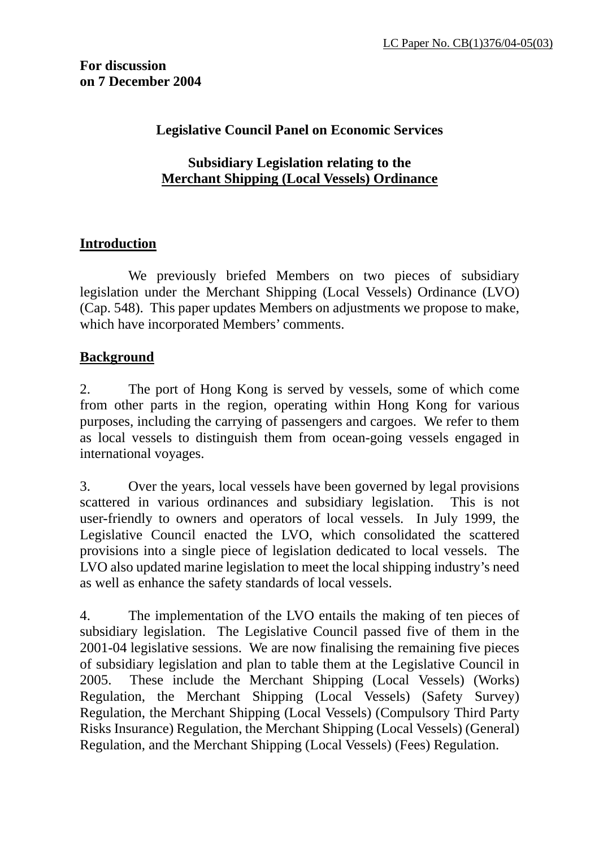**For discussion on 7 December 2004**

### **Legislative Council Panel on Economic Services**

### **Subsidiary Legislation relating to the Merchant Shipping (Local Vessels) Ordinance**

# **Introduction**

 We previously briefed Members on two pieces of subsidiary legislation under the Merchant Shipping (Local Vessels) Ordinance (LVO) (Cap. 548). This paper updates Members on adjustments we propose to make, which have incorporated Members' comments.

# **Background**

2. The port of Hong Kong is served by vessels, some of which come from other parts in the region, operating within Hong Kong for various purposes, including the carrying of passengers and cargoes. We refer to them as local vessels to distinguish them from ocean-going vessels engaged in international voyages.

3. Over the years, local vessels have been governed by legal provisions scattered in various ordinances and subsidiary legislation. This is not user-friendly to owners and operators of local vessels. In July 1999, the Legislative Council enacted the LVO, which consolidated the scattered provisions into a single piece of legislation dedicated to local vessels. The LVO also updated marine legislation to meet the local shipping industry's need as well as enhance the safety standards of local vessels.

4. The implementation of the LVO entails the making of ten pieces of subsidiary legislation. The Legislative Council passed five of them in the 2001-04 legislative sessions. We are now finalising the remaining five pieces of subsidiary legislation and plan to table them at the Legislative Council in 2005. These include the Merchant Shipping (Local Vessels) (Works) Regulation, the Merchant Shipping (Local Vessels) (Safety Survey) Regulation, the Merchant Shipping (Local Vessels) (Compulsory Third Party Risks Insurance) Regulation, the Merchant Shipping (Local Vessels) (General) Regulation, and the Merchant Shipping (Local Vessels) (Fees) Regulation.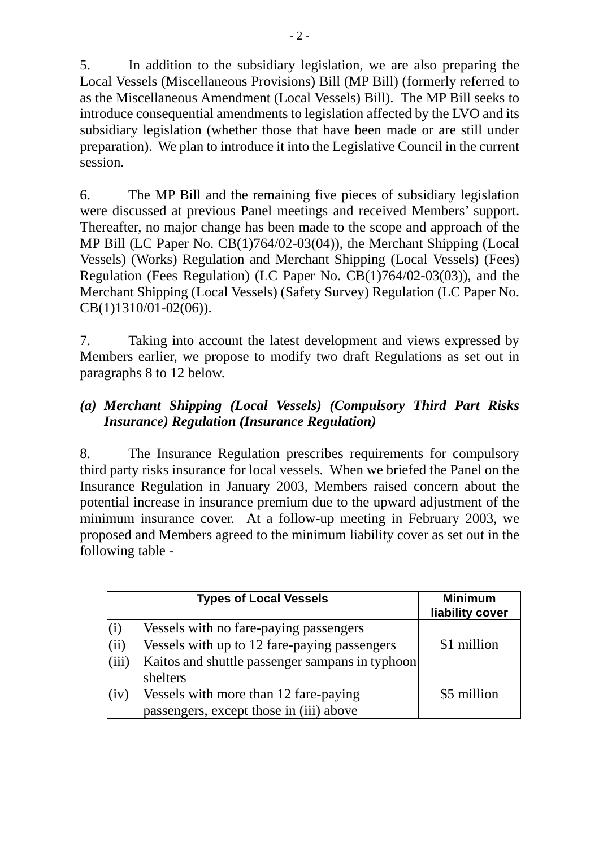5. In addition to the subsidiary legislation, we are also preparing the Local Vessels (Miscellaneous Provisions) Bill (MP Bill) (formerly referred to as the Miscellaneous Amendment (Local Vessels) Bill). The MP Bill seeks to introduce consequential amendments to legislation affected by the LVO and its subsidiary legislation (whether those that have been made or are still under preparation). We plan to introduce it into the Legislative Council in the current session.

6. The MP Bill and the remaining five pieces of subsidiary legislation were discussed at previous Panel meetings and received Members' support. Thereafter, no major change has been made to the scope and approach of the MP Bill (LC Paper No. CB(1)764/02-03(04)), the Merchant Shipping (Local Vessels) (Works) Regulation and Merchant Shipping (Local Vessels) (Fees) Regulation (Fees Regulation) (LC Paper No. CB(1)764/02-03(03)), and the Merchant Shipping (Local Vessels) (Safety Survey) Regulation (LC Paper No. CB(1)1310/01-02(06)).

7. Taking into account the latest development and views expressed by Members earlier, we propose to modify two draft Regulations as set out in paragraphs 8 to 12 below.

## *(a) Merchant Shipping (Local Vessels) (Compulsory Third Part Risks Insurance) Regulation (Insurance Regulation)*

8. The Insurance Regulation prescribes requirements for compulsory third party risks insurance for local vessels. When we briefed the Panel on the Insurance Regulation in January 2003, Members raised concern about the potential increase in insurance premium due to the upward adjustment of the minimum insurance cover. At a follow-up meeting in February 2003, we proposed and Members agreed to the minimum liability cover as set out in the following table -

|       | <b>Types of Local Vessels</b>                   | <b>Minimum</b><br>liability cover |
|-------|-------------------------------------------------|-----------------------------------|
|       | Vessels with no fare-paying passengers          |                                   |
| (ii)  | Vessels with up to 12 fare-paying passengers    | \$1 million                       |
| (iii) | Kaitos and shuttle passenger sampans in typhoon |                                   |
|       | shelters                                        |                                   |
| (iv)  | Vessels with more than 12 fare-paying           | \$5 million                       |
|       | passengers, except those in (iii) above         |                                   |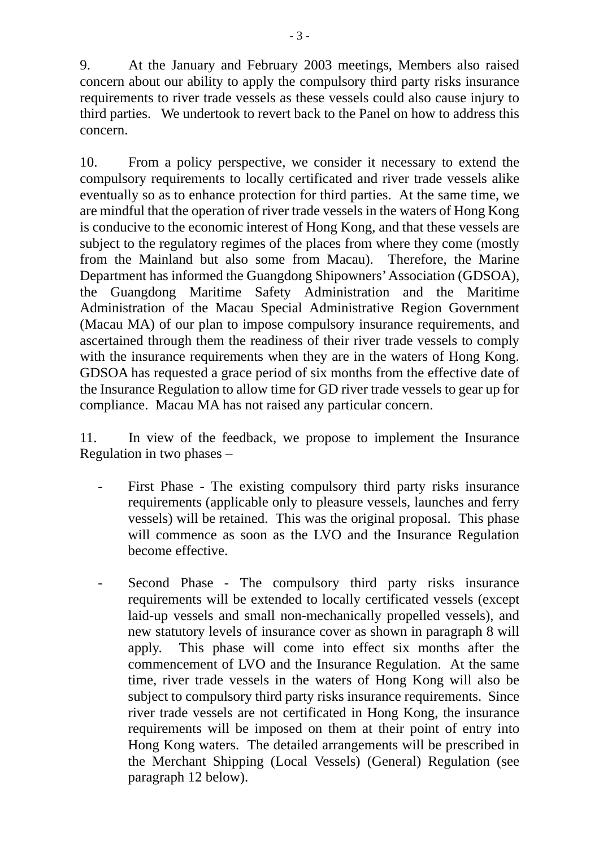9. At the January and February 2003 meetings, Members also raised concern about our ability to apply the compulsory third party risks insurance requirements to river trade vessels as these vessels could also cause injury to third parties. We undertook to revert back to the Panel on how to address this concern.

10. From a policy perspective, we consider it necessary to extend the compulsory requirements to locally certificated and river trade vessels alike eventually so as to enhance protection for third parties. At the same time, we are mindful that the operation of river trade vessels in the waters of Hong Kong is conducive to the economic interest of Hong Kong, and that these vessels are subject to the regulatory regimes of the places from where they come (mostly from the Mainland but also some from Macau). Therefore, the Marine Department has informed the Guangdong Shipowners' Association (GDSOA), the Guangdong Maritime Safety Administration and the Maritime Administration of the Macau Special Administrative Region Government (Macau MA) of our plan to impose compulsory insurance requirements, and ascertained through them the readiness of their river trade vessels to comply with the insurance requirements when they are in the waters of Hong Kong. GDSOA has requested a grace period of six months from the effective date of the Insurance Regulation to allow time for GD river trade vessels to gear up for compliance. Macau MA has not raised any particular concern.

11. In view of the feedback, we propose to implement the Insurance Regulation in two phases –

- First Phase The existing compulsory third party risks insurance requirements (applicable only to pleasure vessels, launches and ferry vessels) will be retained. This was the original proposal. This phase will commence as soon as the LVO and the Insurance Regulation become effective.
- Second Phase The compulsory third party risks insurance requirements will be extended to locally certificated vessels (except laid-up vessels and small non-mechanically propelled vessels), and new statutory levels of insurance cover as shown in paragraph 8 will apply. This phase will come into effect six months after the commencement of LVO and the Insurance Regulation. At the same time, river trade vessels in the waters of Hong Kong will also be subject to compulsory third party risks insurance requirements. Since river trade vessels are not certificated in Hong Kong, the insurance requirements will be imposed on them at their point of entry into Hong Kong waters. The detailed arrangements will be prescribed in the Merchant Shipping (Local Vessels) (General) Regulation (see paragraph 12 below).